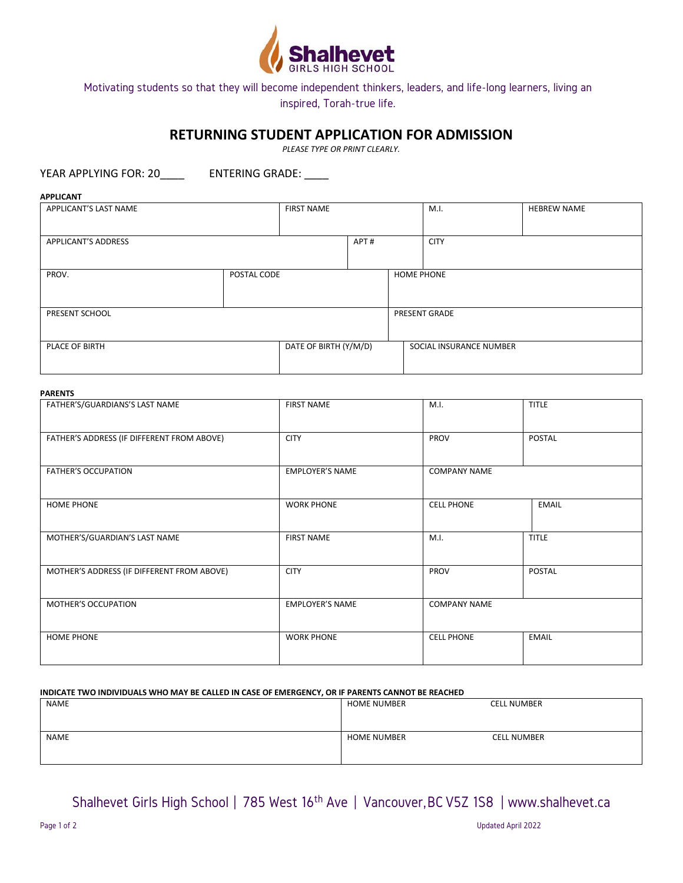

## **RETURNING STUDENT APPLICATION FOR ADMISSION**

*PLEASE TYPE OR PRINT CLEARLY.*

YEAR APPLYING FOR: 20\_\_\_\_\_\_\_\_ ENTERING GRADE: \_\_\_\_

| <b>APPLICANT</b>           |  |                       |                   |                         |      |                    |
|----------------------------|--|-----------------------|-------------------|-------------------------|------|--------------------|
| APPLICANT'S LAST NAME      |  | <b>FIRST NAME</b>     |                   |                         | M.I. | <b>HEBREW NAME</b> |
|                            |  |                       |                   |                         |      |                    |
| <b>APPLICANT'S ADDRESS</b> |  | APT#                  |                   | <b>CITY</b>             |      |                    |
|                            |  |                       |                   |                         |      |                    |
| PROV.<br>POSTAL CODE       |  |                       | <b>HOME PHONE</b> |                         |      |                    |
|                            |  |                       |                   |                         |      |                    |
| PRESENT SCHOOL             |  | PRESENT GRADE         |                   |                         |      |                    |
|                            |  |                       |                   |                         |      |                    |
| PLACE OF BIRTH             |  | DATE OF BIRTH (Y/M/D) |                   | SOCIAL INSURANCE NUMBER |      |                    |
|                            |  |                       |                   |                         |      |                    |

#### **PARENTS**

| FATHER'S/GUARDIANS'S LAST NAME             | <b>FIRST NAME</b>      | M.I.                | <b>TITLE</b>  |
|--------------------------------------------|------------------------|---------------------|---------------|
|                                            |                        |                     |               |
| FATHER'S ADDRESS (IF DIFFERENT FROM ABOVE) | <b>CITY</b>            | PROV                | <b>POSTAL</b> |
|                                            |                        |                     |               |
| <b>FATHER'S OCCUPATION</b>                 | <b>EMPLOYER'S NAME</b> | <b>COMPANY NAME</b> |               |
|                                            |                        |                     |               |
| <b>HOME PHONE</b>                          | <b>WORK PHONE</b>      | <b>CELL PHONE</b>   | <b>EMAIL</b>  |
|                                            |                        |                     |               |
| MOTHER'S/GUARDIAN'S LAST NAME              | <b>FIRST NAME</b>      | M.I.                | <b>TITLE</b>  |
|                                            |                        |                     |               |
| MOTHER'S ADDRESS (IF DIFFERENT FROM ABOVE) | <b>CITY</b>            | PROV                | POSTAL        |
|                                            |                        |                     |               |
| MOTHER'S OCCUPATION                        | <b>EMPLOYER'S NAME</b> | <b>COMPANY NAME</b> |               |
|                                            |                        |                     |               |
| <b>HOME PHONE</b>                          | <b>WORK PHONE</b>      | <b>CELL PHONE</b>   | <b>EMAIL</b>  |
|                                            |                        |                     |               |

#### **INDICATE TWO INDIVIDUALS WHO MAY BE CALLED IN CASE OF EMERGENCY, OR IF PARENTS CANNOT BE REACHED**

| NAME        | <b>HOME NUMBER</b> | <b>CELL NUMBER</b> |
|-------------|--------------------|--------------------|
| <b>NAME</b> | <b>HOME NUMBER</b> | <b>CELL NUMBER</b> |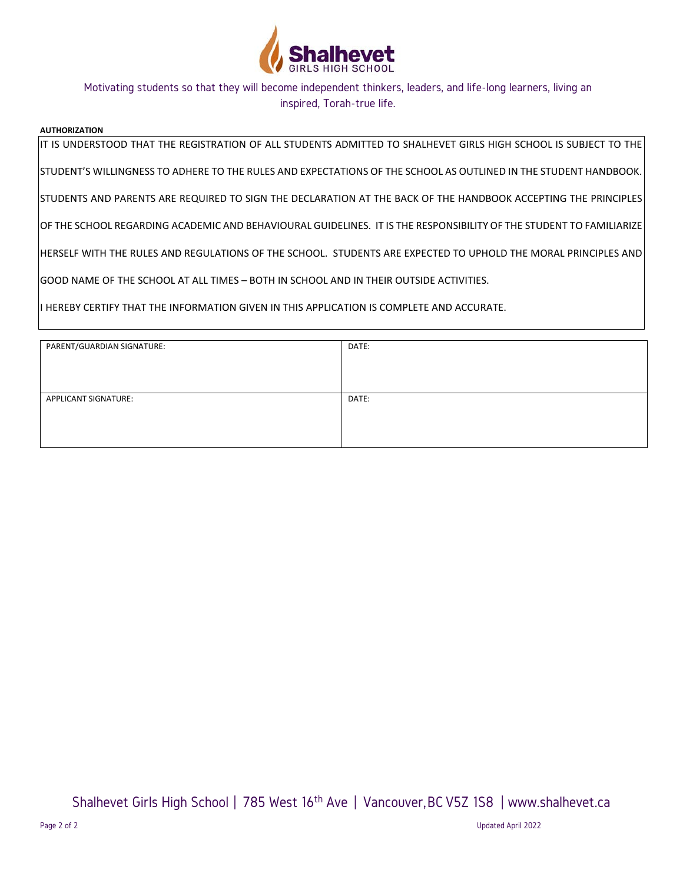

#### **AUTHORIZATION**

IT IS UNDERSTOOD THAT THE REGISTRATION OF ALL STUDENTS ADMITTED TO SHALHEVET GIRLS HIGH SCHOOL IS SUBJECT TO THE

STUDENT'S WILLINGNESS TO ADHERE TO THE RULES AND EXPECTATIONS OF THE SCHOOL AS OUTLINED IN THE STUDENT HANDBOOK.

STUDENTS AND PARENTS ARE REQUIRED TO SIGN THE DECLARATION AT THE BACK OF THE HANDBOOK ACCEPTING THE PRINCIPLES

OF THE SCHOOL REGARDING ACADEMIC AND BEHAVIOURAL GUIDELINES. IT IS THE RESPONSIBILITY OF THE STUDENT TO FAMILIARIZE

HERSELF WITH THE RULES AND REGULATIONS OF THE SCHOOL. STUDENTS ARE EXPECTED TO UPHOLD THE MORAL PRINCIPLES AND

GOOD NAME OF THE SCHOOL AT ALL TIMES – BOTH IN SCHOOL AND IN THEIR OUTSIDE ACTIVITIES.

I HEREBY CERTIFY THAT THE INFORMATION GIVEN IN THIS APPLICATION IS COMPLETE AND ACCURATE.

| PARENT/GUARDIAN SIGNATURE:  | DATE: |
|-----------------------------|-------|
|                             |       |
|                             |       |
| <b>APPLICANT SIGNATURE:</b> | DATE: |
|                             |       |
|                             |       |
|                             |       |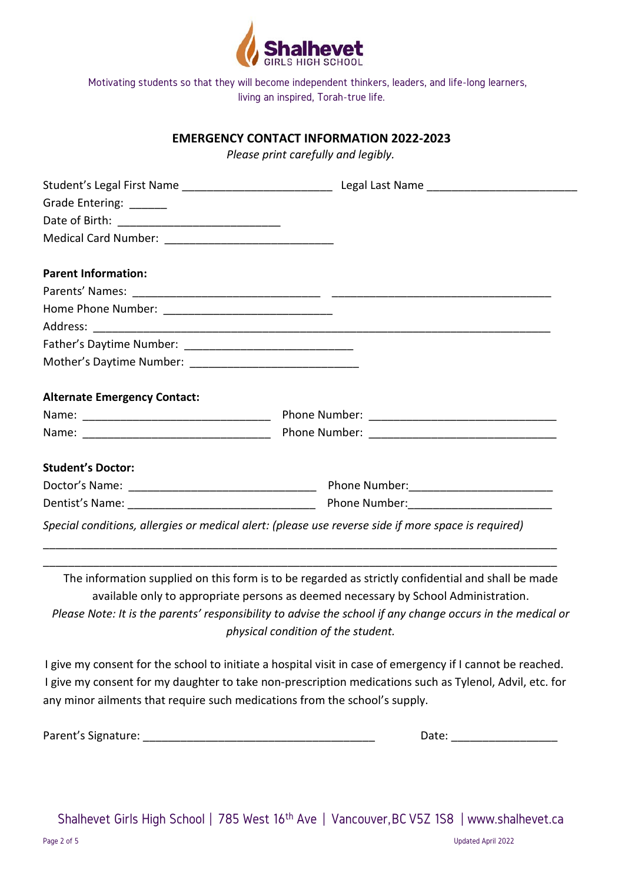

## **EMERGENCY CONTACT INFORMATION 2022-2023**

*Please print carefully and legibly.*

| Grade Entering: ______              |                                                                                                     |
|-------------------------------------|-----------------------------------------------------------------------------------------------------|
|                                     |                                                                                                     |
|                                     |                                                                                                     |
| <b>Parent Information:</b>          |                                                                                                     |
|                                     |                                                                                                     |
|                                     |                                                                                                     |
|                                     |                                                                                                     |
|                                     |                                                                                                     |
|                                     |                                                                                                     |
| <b>Alternate Emergency Contact:</b> |                                                                                                     |
|                                     |                                                                                                     |
|                                     |                                                                                                     |
| <b>Student's Doctor:</b>            |                                                                                                     |
|                                     |                                                                                                     |
|                                     | Dentist's Name: 1990 Manual Phone Number: 2008 Manual Phone Number: 2008 Manual Phone Number:       |
|                                     | Special conditions, allergies or medical alert: (please use reverse side if more space is required) |

The information supplied on this form is to be regarded as strictly confidential and shall be made available only to appropriate persons as deemed necessary by School Administration. *Please Note: It is the parents' responsibility to advise the school if any change occurs in the medical or physical condition of the student.*

\_\_\_\_\_\_\_\_\_\_\_\_\_\_\_\_\_\_\_\_\_\_\_\_\_\_\_\_\_\_\_\_\_\_\_\_\_\_\_\_\_\_\_\_\_\_\_\_\_\_\_\_\_\_\_\_\_\_\_\_\_\_\_\_\_\_\_\_\_\_\_\_\_\_\_\_\_\_\_\_\_\_ \_\_\_\_\_\_\_\_\_\_\_\_\_\_\_\_\_\_\_\_\_\_\_\_\_\_\_\_\_\_\_\_\_\_\_\_\_\_\_\_\_\_\_\_\_\_\_\_\_\_\_\_\_\_\_\_\_\_\_\_\_\_\_\_\_\_\_\_\_\_\_\_\_\_\_\_\_\_\_\_\_\_

I give my consent for the school to initiate a hospital visit in case of emergency if I cannot be reached. I give my consent for my daughter to take non-prescription medications such as Tylenol, Advil, etc. for any minor ailments that require such medications from the school's supply.

Parent's Signature: \_\_\_\_\_\_\_\_\_\_\_\_\_\_\_\_\_\_\_\_\_\_\_\_\_\_\_\_\_\_\_\_\_\_\_\_\_ Date: \_\_\_\_\_\_\_\_\_\_\_\_\_\_\_\_\_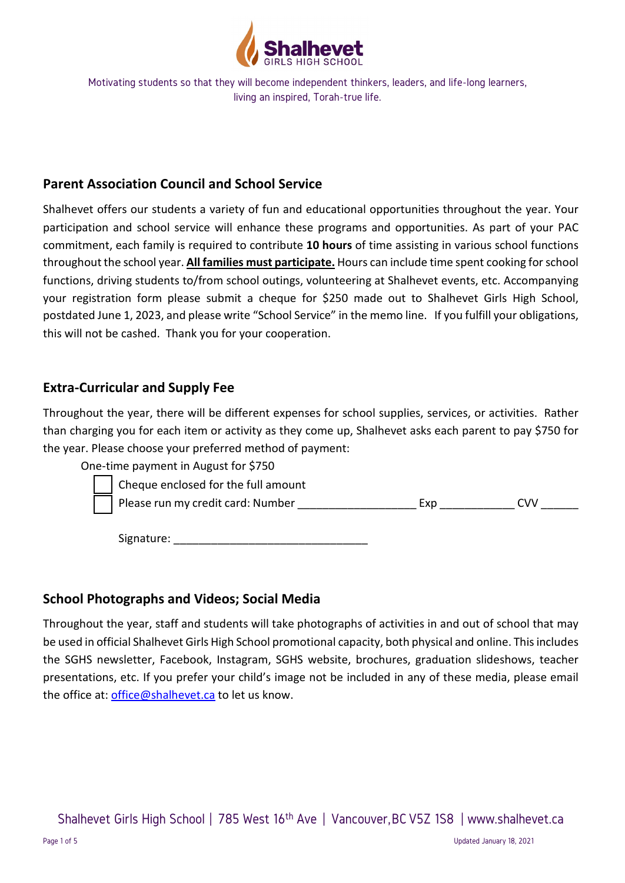

## **Parent Association Council and School Service**

Shalhevet offers our students a variety of fun and educational opportunities throughout the year. Your participation and school service will enhance these programs and opportunities. As part of your PAC commitment, each family is required to contribute **10 hours** of time assisting in various school functions throughout the school year. **All families must participate.** Hours can include time spent cooking for school functions, driving students to/from school outings, volunteering at Shalhevet events, etc. Accompanying your registration form please submit a cheque for \$250 made out to Shalhevet Girls High School, postdated June 1, 2023, and please write "School Service" in the memo line. If you fulfill your obligations, this will not be cashed. Thank you for your cooperation.

## **Extra-Curricular and Supply Fee**

Throughout the year, there will be different expenses for school supplies, services, or activities. Rather than charging you for each item or activity as they come up, Shalhevet asks each parent to pay \$750 for the year. Please choose your preferred method of payment:

One-time payment in August for \$750



 Cheque enclosed for the full amount Please run my credit card: Number \_\_\_\_\_\_\_\_\_\_\_\_\_\_\_\_\_\_\_ Exp \_\_\_\_\_\_\_\_\_\_\_\_ CVV \_\_\_\_\_\_

Signature: \_\_\_\_\_\_\_\_\_\_\_\_\_\_\_\_\_\_\_\_\_\_\_\_\_\_\_\_\_\_\_

## **School Photographs and Videos; Social Media**

Throughout the year, staff and students will take photographs of activities in and out of school that may be used in official Shalhevet Girls High School promotional capacity, both physical and online. This includes the SGHS newsletter, Facebook, Instagram, SGHS website, brochures, graduation slideshows, teacher presentations, etc. If you prefer your child's image not be included in any of these media, please email the office at: [office@shalhevet.ca](mailto:office@shalhevet.ca) to let us know.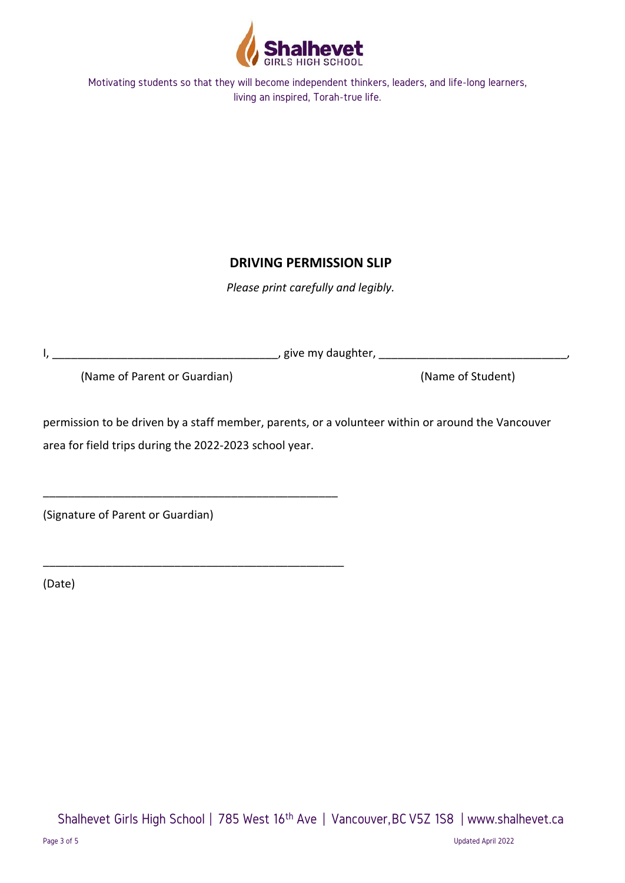

# **DRIVING PERMISSION SLIP**

*Please print carefully and legibly.*

I, \_\_\_\_\_\_\_\_\_\_\_\_\_\_\_\_\_\_\_\_\_\_\_\_\_\_\_\_\_\_\_\_\_\_\_\_, give my daughter, \_\_\_\_\_\_\_\_\_\_\_\_\_\_\_\_\_\_\_\_\_\_\_\_\_\_\_\_\_\_,

\_\_\_\_\_\_\_\_\_\_\_\_\_\_\_\_\_\_\_\_\_\_\_\_\_\_\_\_\_\_\_\_\_\_\_\_\_\_\_\_\_\_\_\_\_\_\_

\_\_\_\_\_\_\_\_\_\_\_\_\_\_\_\_\_\_\_\_\_\_\_\_\_\_\_\_\_\_\_\_\_\_\_\_\_\_\_\_\_\_\_\_\_\_\_\_

(Name of Parent or Guardian) (Name of Student)

permission to be driven by a staff member, parents, or a volunteer within or around the Vancouver area for field trips during the 2022-2023 school year.

(Signature of Parent or Guardian)

(Date)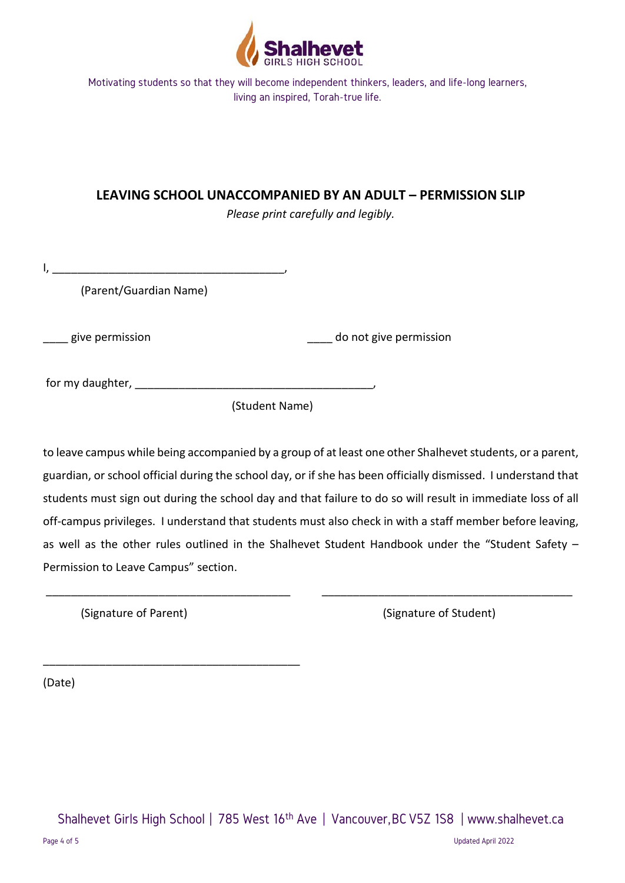

## **LEAVING SCHOOL UNACCOMPANIED BY AN ADULT – PERMISSION SLIP**

*Please print carefully and legibly.*

 $I, \_\_$ 

(Parent/Guardian Name)

give permission and a set of the set of the set of the set of the set of the set of the set of the set of the s

for my daughter, \_\_\_\_\_\_\_\_\_\_\_\_\_\_\_\_\_\_\_\_\_\_\_\_\_\_\_\_\_\_\_\_\_\_\_\_\_\_,

(Student Name)

to leave campus while being accompanied by a group of at least one other Shalhevet students, or a parent, guardian, or school official during the school day, or if she has been officially dismissed. I understand that students must sign out during the school day and that failure to do so will result in immediate loss of all off-campus privileges. I understand that students must also check in with a staff member before leaving, as well as the other rules outlined in the Shalhevet Student Handbook under the "Student Safety – Permission to Leave Campus" section.

\_\_\_\_\_\_\_\_\_\_\_\_\_\_\_\_\_\_\_\_\_\_\_\_\_\_\_\_\_\_\_\_\_\_\_\_\_\_\_ \_\_\_\_\_\_\_\_\_\_\_\_\_\_\_\_\_\_\_\_\_\_\_\_\_\_\_\_\_\_\_\_\_\_\_\_\_\_\_\_

\_\_\_\_\_\_\_\_\_\_\_\_\_\_\_\_\_\_\_\_\_\_\_\_\_\_\_\_\_\_\_\_\_\_\_\_\_\_\_\_\_

(Signature of Parent) (Signature of Student)

(Date)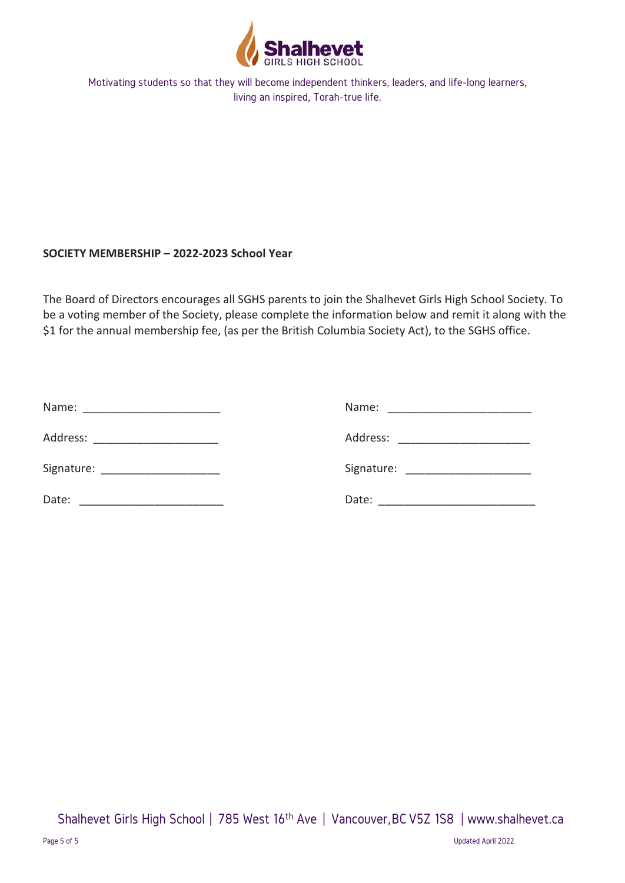

## **SOCIETY MEMBERSHIP – 2022-2023 School Year**

The Board of Directors encourages all SGHS parents to join the Shalhevet Girls High School Society. To be a voting member of the Society, please complete the information below and remit it along with the \$1 for the annual membership fee, (as per the British Columbia Society Act), to the SGHS office.

| Name:    | Name: _________________________    |
|----------|------------------------------------|
| Address: | Address:                           |
|          | Signature: _______________________ |
| Date:    | Date: _______________________      |